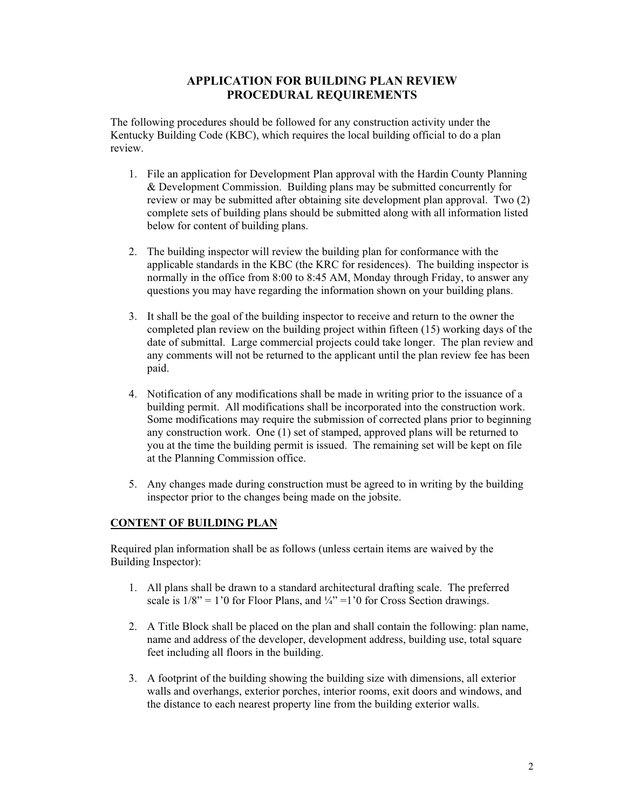## **APPLICATION FOR BUILDING PLAN REVIEW PROCEDURAL REQUIREMENTS**

The following procedures should be followed for any construction activity under the Kentucky Building Code (KBC), which requires the local building official to do a plan review.

- 1. File an application for Development Plan approval with the Hardin County Planning & Development Commission. Building plans may be submitted concurrently for review or may be submitted after obtaining site development plan approval. Two (2) complete sets of building plans should be submitted along with all information listed below for content of building plans.
- 2. The building inspector will review the building plan for conformance with the applicable standards in the KBC (the KRC for residences). The building inspector is normally in the office from 8:00 to 8:45 AM, Monday through Friday, to answer any questions you may have regarding the information shown on your building plans.
- 3. It shall be the goal of the building inspector to receive and return to the owner the completed plan review on the building project within fifteen (15) working days of the date of submittal. Large commercial projects could take longer. The plan review and any comments will not be returned to the applicant until the plan review fee has been paid.
- 4. Notification of any modifications shall be made in writing prior to the issuance of a building permit. All modifications shall be incorporated into the construction work. Some modifications may require the submission of corrected plans prior to beginning any construction work. One (1) set of stamped, approved plans will be returned to you at the time the building permit is issued. The remaining set will be kept on file at the Planning Commission office.
- 5. Any changes made during construction must be agreed to in writing by the building inspector prior to the changes being made on the jobsite.

## **CONTENT OF BUILDING PLAN**

Required plan information shall be as follows (unless certain items are waived by the Building Inspector):

- 1. All plans shall be drawn to a standard architectural drafting scale. The preferred scale is  $1/8$ " = 1'0 for Floor Plans, and  $\frac{1}{4}$ " = 1'0 for Cross Section drawings.
- 2. A Title Block shall be placed on the plan and shall contain the following: plan name, name and address of the developer, development address, building use, total square feet including all floors in the building.
- 3. A footprint of the building showing the building size with dimensions, all exterior walls and overhangs, exterior porches, interior rooms, exit doors and windows, and the distance to each nearest property line from the building exterior walls.